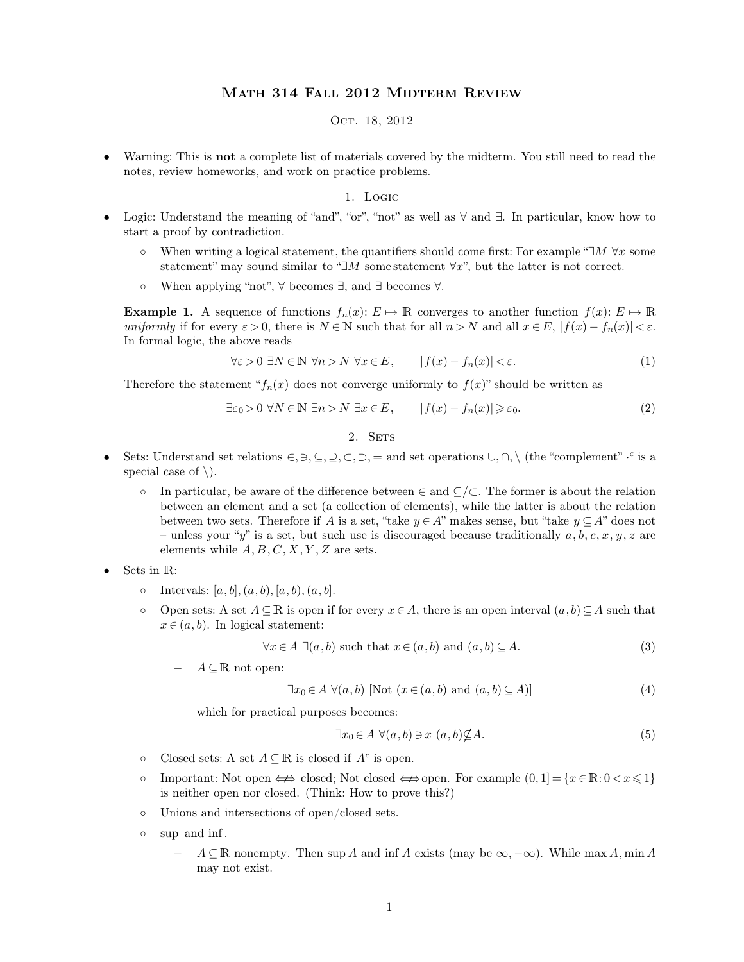# Math 314 Fall 2012 Midterm Review

## Oct. 18, 2012

• Warning: This is **not** a complete list of materials covered by the midterm. You still need to read the notes, review homeworks, and work on practice problems.

#### 1. Logic

- Logic: Understand the meaning of "and", "or", "not" as well as ∀ and ∃. In particular, know how to start a proof by contradiction.
	- ⊙ When writing a logical statement, the quantifiers should come first: For example " $\exists M \forall x$  some statement" may sound similar to " $\exists M$  some statement  $\forall x$ ", but the latter is not correct.
	- When applying "not", ∀ becomes ∃, and ∃ becomes ∀.

**Example 1.** A sequence of functions  $f_n(x) \colon E \to \mathbb{R}$  converges to another function  $f(x) \colon E \to \mathbb{R}$ *uniformly* if for every  $\varepsilon > 0$ , there is  $N \in \mathbb{N}$  such that for all  $n > N$  and all  $x \in E$ ,  $|f(x) - f_n(x)| < \varepsilon$ . In formal logic, the above reads

$$
\forall \varepsilon > 0 \ \exists N \in \mathbb{N} \ \forall n > N \ \forall x \in E, \qquad |f(x) - f_n(x)| < \varepsilon. \tag{1}
$$

Therefore the statement " $f_n(x)$  does not converge uniformly to  $f(x)$ " should be written as

$$
\exists \varepsilon_0 > 0 \,\forall N \in \mathbb{N} \,\,\exists n > N \,\,\exists x \in E, \qquad |f(x) - f_n(x)| \geq \varepsilon_0. \tag{2}
$$

2. SETS

- Sets: Understand set relations  $\in$ ,  $\supset$ ,  $\subseteq$ ,  $\supset$ ,  $\supset$ ,  $\supset$ , and set operations  $\cup$ ,  $\cap$ ,  $\setminus$  (the "complement"  $\cdot$ " is a special case of  $\backslash$ ).
	- In particular, be aware of the difference between ∈ and ⊆/⊂. The former is about the relation between an element and a set (a collection of elements), while the latter is about the relation between two sets. Therefore if A is a set, "take  $y \in A$ " makes sense, but "take  $y \subseteq A$ " does not – unless your "y" is a set, but such use is discouraged because traditionally  $a, b, c, x, y, z$  are elements while  $A, B, C, X, Y, Z$  are sets.
- Sets in R:
	- $\circ$  Intervals: [a, b], (a, b), [a, b), (a, b].
	- ⊙ Open sets: A set  $A \subseteq \mathbb{R}$  is open if for every  $x \in A$ , there is an open interval  $(a, b) \subseteq A$  such that  $x \in (a, b)$ . In logical statement:

$$
\forall x \in A \; \exists (a, b) \text{ such that } x \in (a, b) \text{ and } (a, b) \subseteq A. \tag{3}
$$

 $A \subseteq \mathbb{R}$  not open:

$$
\exists x_0 \in A \; \forall (a, b) \; [\text{Not} \; (x \in (a, b) \text{ and } (a, b) \subseteq A)] \tag{4}
$$

which for practical purposes becomes:

$$
\exists x_0 \in A \ \forall (a, b) \ni x \ (a, b) \nsubseteq A. \tag{5}
$$

- Closed sets: A set  $A \subseteq \mathbb{R}$  is closed if  $A^c$  is open.
- Important: Not open  $\iff$  closed; Not closed  $\iff$  open. For example  $(0, 1] = \{x \in \mathbb{R} : 0 \le x \le 1\}$ is neither open nor closed. (Think: How to prove this?)
- Unions and intersections of open/closed sets.
- sup and inf .
	- $A \subseteq \mathbb{R}$  nonempty. Then sup A and inf A exists (may be  $\infty, -\infty$ ). While max A, min A may not exist.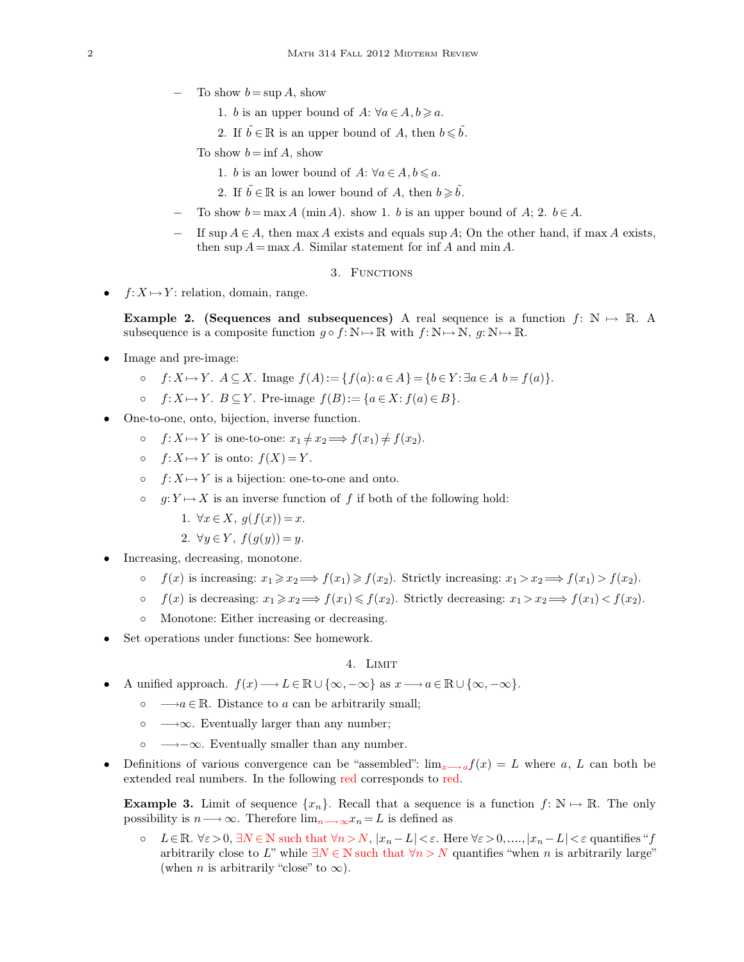- To show  $b = \sup A$ , show
	- 1. b is an upper bound of  $A: \forall a \in A, b \geq a$ .
	- 2. If  $\tilde{b} \in \mathbb{R}$  is an upper bound of A, then  $b \leq \tilde{b}$ .
	- To show  $b = \inf A$ , show
		- 1. b is an lower bound of  $A: \forall a \in A, b \leq a$ .
		- 2. If  $\tilde{b} \in \mathbb{R}$  is an lower bound of A, then  $b \geqslant \tilde{b}$ .
- To show  $b = \max A \pmod{A}$ . show 1. b is an upper bound of A; 2.  $b \in A$ .
- If sup  $A \in A$ , then max A exists and equals sup A; On the other hand, if max A exists, then sup  $A = \max A$ . Similar statement for inf A and min A.

### 3. FUNCTIONS

 $f: X \mapsto Y$ : relation, domain, range.

**Example 2. (Sequences and subsequences)** A real sequence is a function  $f: \mathbb{N} \mapsto \mathbb{R}$ . A subsequence is a composite function  $g \circ f: \mathbb{N} \to \mathbb{R}$  with  $f: \mathbb{N} \to \mathbb{N}$ ,  $g: \mathbb{N} \to \mathbb{R}$ .

- Image and pre-image:
	- o  $f: X \mapsto Y$ .  $A \subseteq X$ . Image  $f(A) := \{f(a): a \in A\} = \{b \in Y : \exists a \in A \; b = f(a)\}.$
	- $f: X \mapsto Y$ .  $B \subseteq Y$ . Pre-image  $f(B) := \{a \in X : f(a) \in B\}.$
- One-to-one, onto, bijection, inverse function.
	- $\circ$   $f: X \mapsto Y$  is one-to-one:  $x_1 \neq x_2 \Longrightarrow f(x_1) \neq f(x_2)$ .
	- $\circ$   $f: X \mapsto Y$  is onto:  $f(X) = Y$ .
	- $f: X \mapsto Y$  is a bijection: one-to-one and onto.
	- $q: Y \mapsto X$  is an inverse function of f if both of the following hold:
		- 1.  $\forall x \in X, g(f(x)) = x$ .
		- 2.  $\forall y \in Y, f(g(y)) = y.$
- Increasing, decreasing, monotone.
	- $f(x)$  is increasing:  $x_1 \geq x_2 \Longrightarrow f(x_1) \geq f(x_2)$ . Strictly increasing:  $x_1 > x_2 \Longrightarrow f(x_1) > f(x_2)$ .
	- $f(x)$  is decreasing:  $x_1 \geq x_2 \Longrightarrow f(x_1) \leq f(x_2)$ . Strictly decreasing:  $x_1 > x_2 \Longrightarrow f(x_1) < f(x_2)$ .
	- Monotone: Either increasing or decreasing.
- Set operations under functions: See homework.

#### 4. LIMIT

- A unified approach.  $f(x) \longrightarrow L \in \mathbb{R} \cup {\infty, -\infty}$  as  $x \longrightarrow a \in \mathbb{R} \cup {\infty, -\infty}$ .
	- $\circ \longrightarrow a \in \mathbb{R}$ . Distance to a can be arbitrarily small;
	- $\circ \longrightarrow \infty$ . Eventually larger than any number;
	- $\rightarrow -\infty$ . Eventually smaller than any number.
- Definitions of various convergence can be "assembled":  $\lim_{x\to a}f(x) = L$  where a, L can both be extended real numbers. In the following red corresponds to red.

**Example 3.** Limit of sequence  $\{x_n\}$ . Recall that a sequence is a function  $f: \mathbb{N} \to \mathbb{R}$ . The only possibility is  $n \longrightarrow \infty$ . Therefore  $\lim_{n \longrightarrow \infty} x_n = L$  is defined as

 $\circ$   $L \in \mathbb{R}$ .  $\forall \varepsilon > 0, \exists N \in \mathbb{N}$  such that  $\forall n > N$ ,  $|x_n - L| < \varepsilon$ . Here  $\forall \varepsilon > 0, \dots, |x_n - L| < \varepsilon$  quantifies "f arbitrarily close to L" while  $\exists N \in \mathbb{N}$  such that  $\forall n > N$  quantifies "when n is arbitrarily large" (when *n* is arbitrarily "close" to  $\infty$ ).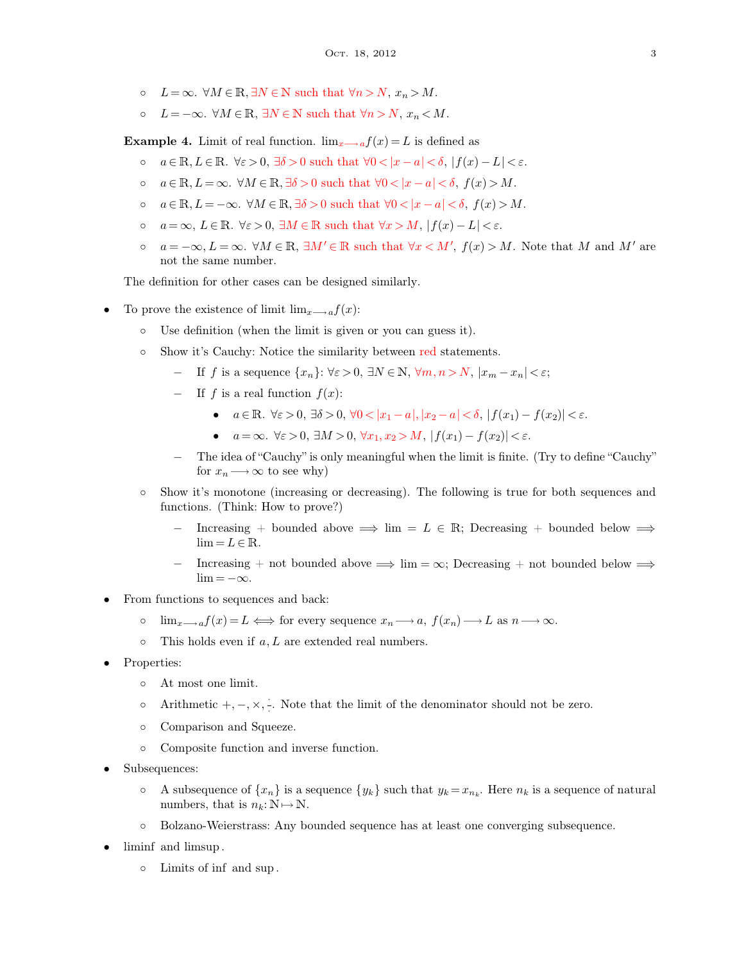- $L = \infty$ . ∀ $M \in \mathbb{R}, \exists N \in \mathbb{N}$  such that ∀ $n > N$ ,  $x_n > M$ .
- $L = -\infty$ .  $\forall M \in \mathbb{R}$ ,  $\exists N \in \mathbb{N}$  such that  $\forall n > N$ ,  $x_n < M$ .

**Example 4.** Limit of real function.  $\lim_{x\to a} f(x) = L$  is defined as

- o  $a \in \mathbb{R}, L \in \mathbb{R}$ .  $\forall \varepsilon > 0$ ,  $\exists \delta > 0$  such that  $\forall 0 < |x a| < \delta$ ,  $|f(x) L| < \varepsilon$ .
- o  $a \in \mathbb{R}, L = \infty$ . ∀ $M \in \mathbb{R}, \exists \delta > 0$  such that  $\forall 0 < |x a| < \delta, f(x) > M$ .
- o  $a \in \mathbb{R}, L = -\infty$ . ∀ $M \in \mathbb{R}, \exists \delta > 0$  such that  $\forall 0 < |x a| < \delta, f(x) > M$ .
- $\circ$   $a = \infty$ ,  $L \in \mathbb{R}$ .  $\forall \varepsilon > 0$ ,  $\exists M \in \mathbb{R}$  such that  $\forall x > M$ ,  $|f(x) L| < \varepsilon$ .
- ∘  $a = -\infty, L = \infty$ .  $\forall M \in \mathbb{R}, \exists M' \in \mathbb{R}$  such that  $\forall x \leq M', f(x) > M$ . Note that M and M' are not the same number.

The definition for other cases can be designed similarly.

- To prove the existence of limit  $\lim_{x\to a}f(x)$ :
	- Use definition (when the limit is given or you can guess it).
	- Show it's Cauchy: Notice the similarity between red statements.
		- $-$  If *f* is a sequence  ${x_n}$ : ∀ε > 0, ∃N ∈ N, ∀m, n > N,  $|x_m x_n| < \varepsilon$ ;
		- $-$  If f is a real function  $f(x)$ :
			- $a \in \mathbb{R}$ ,  $\forall \varepsilon > 0$ ,  $\exists \delta > 0$ ,  $\forall 0 < |x_1 a|, |x_2 a| < \delta$ ,  $|f(x_1) f(x_2)| < \varepsilon$ .
			- $a = \infty$ .  $\forall \varepsilon > 0$ ,  $\exists M > 0$ ,  $\forall x_1, x_2 > M$ ,  $|f(x_1) f(x_2)| < \varepsilon$ .
		- − The idea of "Cauchy" is only meaningful when the limit is finite. (Try to define "Cauchy" for  $x_n \longrightarrow \infty$  to see why)
	- Show it's monotone (increasing or decreasing). The following is true for both sequences and functions. (Think: How to prove?)
		- Increasing + bounded above  $\implies$  lim =  $L \in \mathbb{R}$ ; Decreasing + bounded below  $\implies$  $\lim = L \in \mathbb{R}$ .
		- Increasing + not bounded above  $\implies$  lim =  $\infty$ ; Decreasing + not bounded below  $\implies$  $\lim = -\infty$ .
- From functions to sequences and back:
	- $\lim_{x\longrightarrow a} f(x) = L \iff \text{for every sequence } x_n \longrightarrow a, f(x_n) \longrightarrow L \text{ as } n \longrightarrow \infty.$
	- $\circ$  This holds even if a, L are extended real numbers.
- Properties:
	- At most one limit.
	- $\circ$  Arithmetic +, −, ×,  $\frac{1}{x}$ · . Note that the limit of the denominator should not be zero.
	- Comparison and Squeeze.
	- Composite function and inverse function.
- Subsequences:
	- $\circ$  A subsequence of  $\{x_n\}$  is a sequence  $\{y_k\}$  such that  $y_k = x_{n_k}$ . Here  $n_k$  is a sequence of natural numbers, that is  $n_k: \mathbb{N} \mapsto \mathbb{N}$ .
	- Bolzano-Weierstrass: Any bounded sequence has at least one converging subsequence.
- liminf and limsup .
	- Limits of inf and sup .